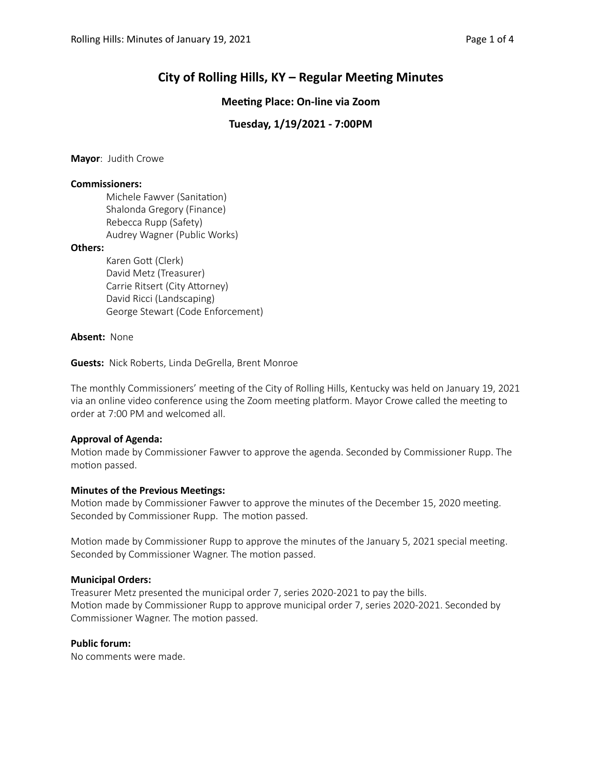# **City of Rolling Hills, KY – Regular Meeting Minutes**

# **Meeting Place: On-line via Zoom**

# **Tuesday, 1/19/2021 - 7:00PM**

**Mayor**: Judith Crowe

## **Commissioners:**

Michele Fawver (Sanitation) Shalonda Gregory (Finance) Rebecca Rupp (Safety) Audrey Wagner (Public Works)

## **Others:**

Karen Gott (Clerk) David Metz (Treasurer) Carrie Ritsert (City Attorney) David Ricci (Landscaping) George Stewart (Code Enforcement)

## **Absent:** None

**Guests:** Nick Roberts, Linda DeGrella, Brent Monroe

The monthly Commissioners' meeting of the City of Rolling Hills, Kentucky was held on January 19, 2021 via an online video conference using the Zoom meeting platform. Mayor Crowe called the meeting to order at 7:00 PM and welcomed all.

## **Approval of Agenda:**

Motion made by Commissioner Fawver to approve the agenda. Seconded by Commissioner Rupp. The motion passed.

#### **Minutes of the Previous Meetings:**

Motion made by Commissioner Fawver to approve the minutes of the December 15, 2020 meeting. Seconded by Commissioner Rupp. The motion passed.

Motion made by Commissioner Rupp to approve the minutes of the January 5, 2021 special meeting. Seconded by Commissioner Wagner. The motion passed.

#### **Municipal Orders:**

Treasurer Metz presented the municipal order 7, series 2020-2021 to pay the bills. Motion made by Commissioner Rupp to approve municipal order 7, series 2020-2021. Seconded by Commissioner Wagner. The motion passed.

#### **Public forum:**

No comments were made.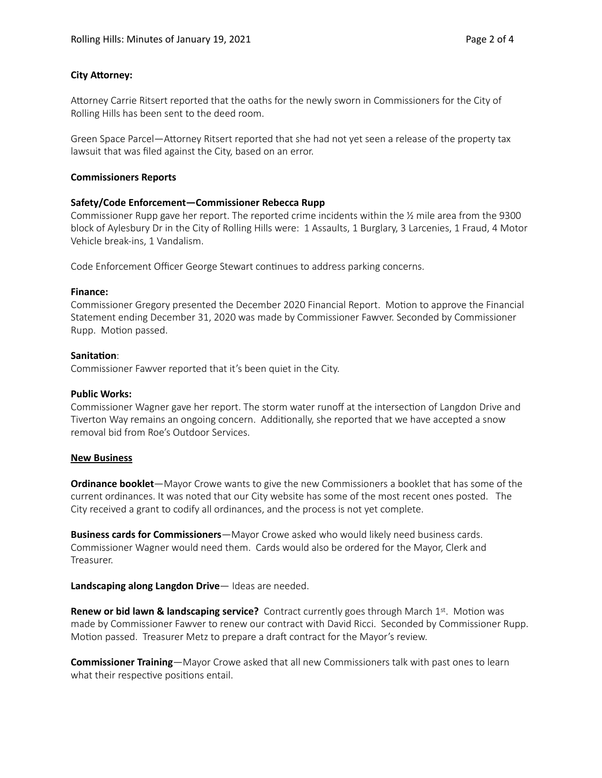## **City Attorney:**

Attorney Carrie Ritsert reported that the oaths for the newly sworn in Commissioners for the City of Rolling Hills has been sent to the deed room.

Green Space Parcel—AForney Ritsert reported that she had not yet seen a release of the property tax lawsuit that was filed against the City, based on an error.

## **Commissioners Reports**

## **Safety/Code Enforcement—Commissioner Rebecca Rupp**

Commissioner Rupp gave her report. The reported crime incidents within the ½ mile area from the 9300 block of Aylesbury Dr in the City of Rolling Hills were: 1 Assaults, 1 Burglary, 3 Larcenies, 1 Fraud, 4 Motor Vehicle break-ins, 1 Vandalism.

Code Enforcement Officer George Stewart continues to address parking concerns.

#### **Finance:**

Commissioner Gregory presented the December 2020 Financial Report. Motion to approve the Financial Statement ending December 31, 2020 was made by Commissioner Fawver. Seconded by Commissioner Rupp. Motion passed.

## **Sanitation:**

Commissioner Fawver reported that it's been quiet in the City.

## **Public Works:**

Commissioner Wagner gave her report. The storm water runoff at the intersection of Langdon Drive and Tiverton Way remains an ongoing concern. Additionally, she reported that we have accepted a snow removal bid from Roe's Outdoor Services.

#### **New Business**

**Ordinance booklet**—Mayor Crowe wants to give the new Commissioners a booklet that has some of the current ordinances. It was noted that our City website has some of the most recent ones posted. The City received a grant to codify all ordinances, and the process is not yet complete.

**Business cards for Commissioners**—Mayor Crowe asked who would likely need business cards. Commissioner Wagner would need them. Cards would also be ordered for the Mayor, Clerk and Treasurer.

**Landscaping along Langdon Drive**— Ideas are needed.

**Renew or bid lawn & landscaping service?** Contract currently goes through March 1st. Motion was made by Commissioner Fawver to renew our contract with David Ricci. Seconded by Commissioner Rupp. Motion passed. Treasurer Metz to prepare a draft contract for the Mayor's review.

**Commissioner Training**—Mayor Crowe asked that all new Commissioners talk with past ones to learn what their respective positions entail.